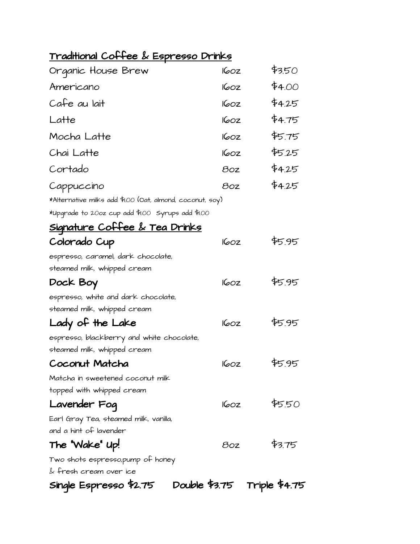## Traditional Coffee & Espresso Drinks

| Organic House Brew                                        | 160z        | \$3.50 |  |  |
|-----------------------------------------------------------|-------------|--------|--|--|
| Americano                                                 | 160z        | \$4.00 |  |  |
| Cafe au lait                                              | <b>160Z</b> | \$4.25 |  |  |
| Latte                                                     | 160z        | \$4.75 |  |  |
| Mocha Latte                                               | 160z        | \$5.75 |  |  |
| Chai Latte                                                | 160z        | \$5.25 |  |  |
| Cortado                                                   | 80z         | \$4.25 |  |  |
| Cappuccino                                                | 80z         | \$4.25 |  |  |
| *Alternative milks add \$1.00 (Oat, almond, coconut, soy) |             |        |  |  |
| *Upgrade to 20oz cup add \$1.00 Syrups add \$1.00         |             |        |  |  |
| <u> Signature Coffee &amp; Tea Drinks</u>                 |             |        |  |  |
| Colorado Cup                                              | 160z        | \$5.95 |  |  |
| espresso, caramel, dark chocolate,                        |             |        |  |  |
| steamed milk, whipped cream                               |             |        |  |  |
| Dock Boy                                                  | 160z        | 斩.95   |  |  |
| espresso, white and dark chocolate,                       |             |        |  |  |
| steamed milk, whipped cream                               |             |        |  |  |
| Lady of the Lake                                          | 160z        | \$5.95 |  |  |
| espresso, blackberry and white chocolate,                 |             |        |  |  |
| steamed milk, whipped cream                               |             |        |  |  |
| Coconut Matcha                                            | 160z        | \$5.95 |  |  |
| Matcha in sweetened coconut milk                          |             |        |  |  |
| topped with whipped cream                                 |             |        |  |  |
| Lavender Foq                                              | 60z         | \$550  |  |  |
| Earl Gray Tea, steamed milk, vanilla,                     |             |        |  |  |
| and a hint of lavender                                    |             |        |  |  |
| The "Wake" Up!                                            | 8oz         | \$3.75 |  |  |
| Two shots espresso,pump of honey                          |             |        |  |  |
| $\&$ fresh cream over ice                                 |             |        |  |  |
| Double \$3.75 Triple \$4.75<br>Single Espresso \$2.75     |             |        |  |  |